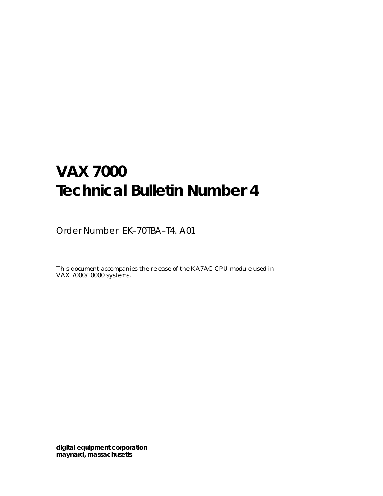# **VAX 7000 Technical Bulletin Number 4**

Order Number EK–70TBA–T4. A01

This document accompanies the release of the KA7AC CPU module used in VAX 7000/10000 systems.

**digital equipment corporation maynard, massachusetts**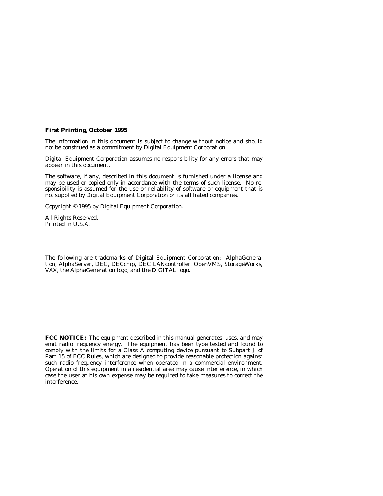#### **First Printing, October 1995**

The information in this document is subject to change without notice and should not be construed as a commitment by Digital Equipment Corporation.

Digital Equipment Corporation assumes no responsibility for any errors that may appear in this document.

The software, if any, described in this document is furnished under a license and may be used or copied only in accordance with the terms of such license. No responsibility is assumed for the use or reliability of software or equipment that is not supplied by Digital Equipment Corporation or its affiliated companies.

Copyright © 1995 by Digital Equipment Corporation.

All Rights Reserved. Printed in U.S.A.

The following are trademarks of Digital Equipment Corporation: AlphaGeneration, AlphaServer, DEC, DECchip, DEC LANcontroller, OpenVMS, StorageWorks, VAX, the AlphaGeneration logo, and the DIGITAL logo.

**FCC NOTICE:** The equipment described in this manual generates, uses, and may emit radio frequency energy. The equipment has been type tested and found to comply with the limits for a Class A computing device pursuant to Subpart J of Part 15 of FCC Rules, which are designed to provide reasonable protection against such radio frequency interference when operated in a commercial environment. Operation of this equipment in a residential area may cause interference, in which case the user at his own expense may be required to take measures to correct the interference.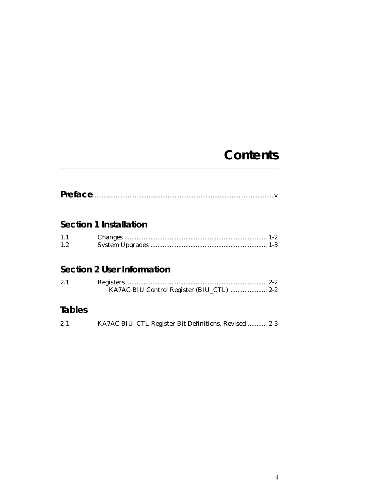## **Contents**

|--|

## **Section 1 Installation**

| 1.2 |  |
|-----|--|

## **Section 2 User Information**

| 2.1 |                                           |
|-----|-------------------------------------------|
|     | KA7AC BIU Control Register (BIU_CTL)  2-2 |
|     |                                           |

## **Tables**

| $2 - 1$ |  |  | KA7AC BIU_CTL Register Bit Definitions, Revised  2-3 |  |  |
|---------|--|--|------------------------------------------------------|--|--|
|---------|--|--|------------------------------------------------------|--|--|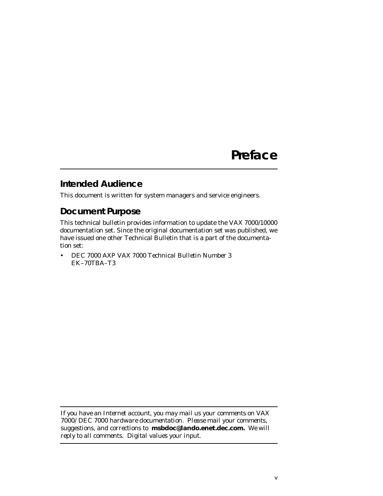## **Preface**

### **Intended Audience**

This document is written for system managers and service engineers.

### **Document Purpose**

This technical bulletin provides information to update the VAX 7000/10000 documentation set. Since the original documentation set was published, we have issued one other Technical Bulletin that is a part of the documentation set:

• *DEC 7000 AXP VAX 7000 Technical Bulletin Number 3* EK–70TBA–T3

*If you have an Internet account, you may mail us your comments on VAX 7000/DEC 7000 hardware documentation. Please mail your comments, suggestions, and corrections to* **msbdoc@lando.enet.dec.com.** *We will reply to all comments. Digital values your input.*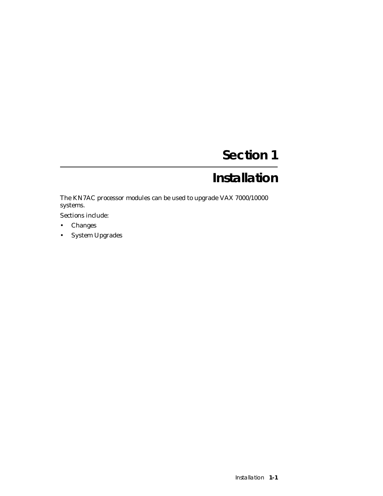## **Section 1**

## **Installation**

The KN7AC processor modules can be used to upgrade VAX 7000/10000 systems.

Sections include:

- Changes
- System Upgrades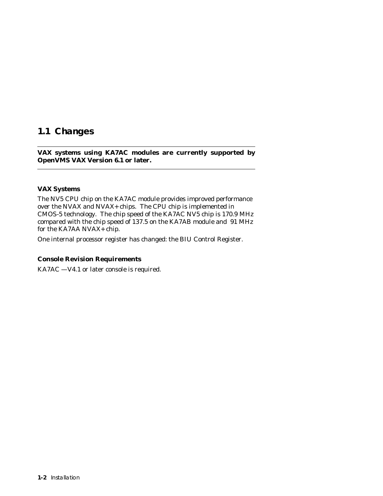#### **1.1 Changes**

**VAX systems using KA7AC modules are currently supported by OpenVMS VAX Version 6.1 or later.**

#### **VAX Systems**

The NV5 CPU chip on the KA7AC module provides improved performance over the NVAX and NVAX+ chips. The CPU chip is implemented in CMOS-5 technology. The chip speed of the KA7AC NV5 chip is 170.9 MHz compared with the chip speed of 137.5 on the KA7AB module and 91 MHz for the KA7AA NVAX+ chip.

One internal processor register has changed: the BIU Control Register.

#### **Console Revision Requirements**

KA7AC —V4.1 or later console is required.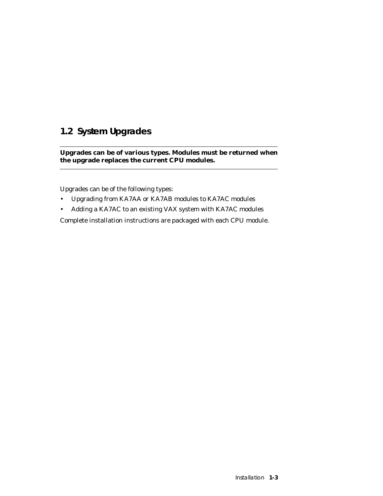## **1.2 System Upgrades**

**Upgrades can be of various types. Modules must be returned when the upgrade replaces the current CPU modules.**

Upgrades can be of the following types:

- Upgrading from KA7AA or KA7AB modules to KA7AC modules
- Adding a KA7AC to an existing VAX system with KA7AC modules

Complete installation instructions are packaged with each CPU module.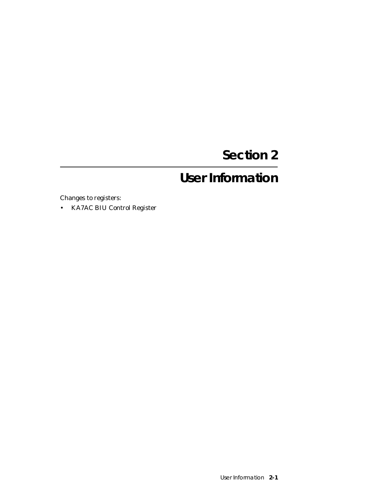## **Section 2**

## **User Information**

Changes to registers:

• KA7AC BIU Control Register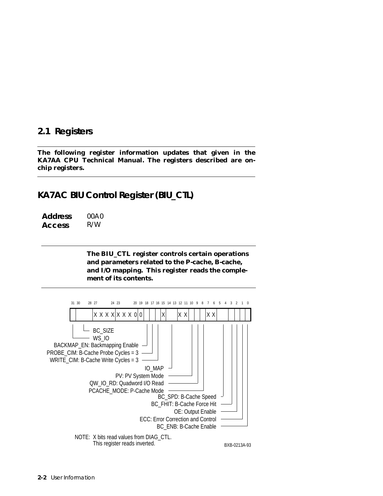#### **2.1 Registers**

**The following register information updates that given in the KA7AA CPU Technical Manual. The registers described are onchip registers.**

### **KA7AC BIU Control Register (BIU\_CTL)**

**Address Access** 00A0 R/W

> **The BIU\_CTL register controls certain operations and parameters related to the P-cache, B-cache, and I/O mapping. This register reads the complement of its contents.**